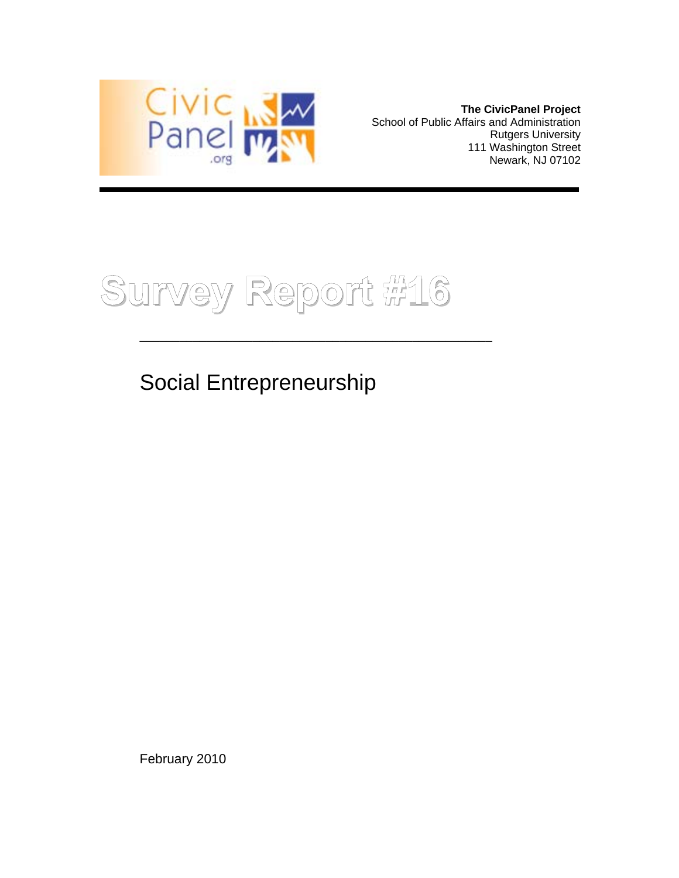

**The CivicPanel Project**  School of Public Affairs and Administration Rutgers University 111 Washington Street Newark, NJ 07102

**Survey Report #16**

\_\_\_\_\_\_\_\_\_\_\_\_\_\_\_\_\_\_\_\_\_\_\_\_\_\_\_\_\_\_\_\_\_\_\_\_\_\_\_\_\_\_\_\_\_\_\_\_\_\_\_\_\_

Social Entrepreneurship

February 2010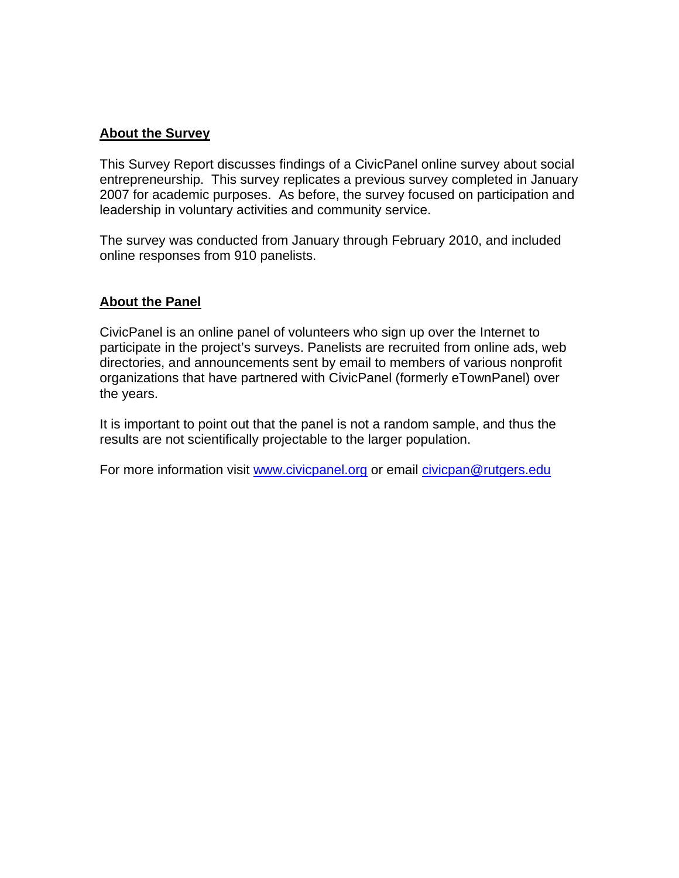## **About the Survey**

This Survey Report discusses findings of a CivicPanel online survey about social entrepreneurship. This survey replicates a previous survey completed in January 2007 for academic purposes. As before, the survey focused on participation and leadership in voluntary activities and community service.

The survey was conducted from January through February 2010, and included online responses from 910 panelists.

## **About the Panel**

CivicPanel is an online panel of volunteers who sign up over the Internet to participate in the project's surveys. Panelists are recruited from online ads, web directories, and announcements sent by email to members of various nonprofit organizations that have partnered with CivicPanel (formerly eTownPanel) over the years.

It is important to point out that the panel is not a random sample, and thus the results are not scientifically projectable to the larger population.

For more information visit www.civicpanel.org or email civicpan@rutgers.edu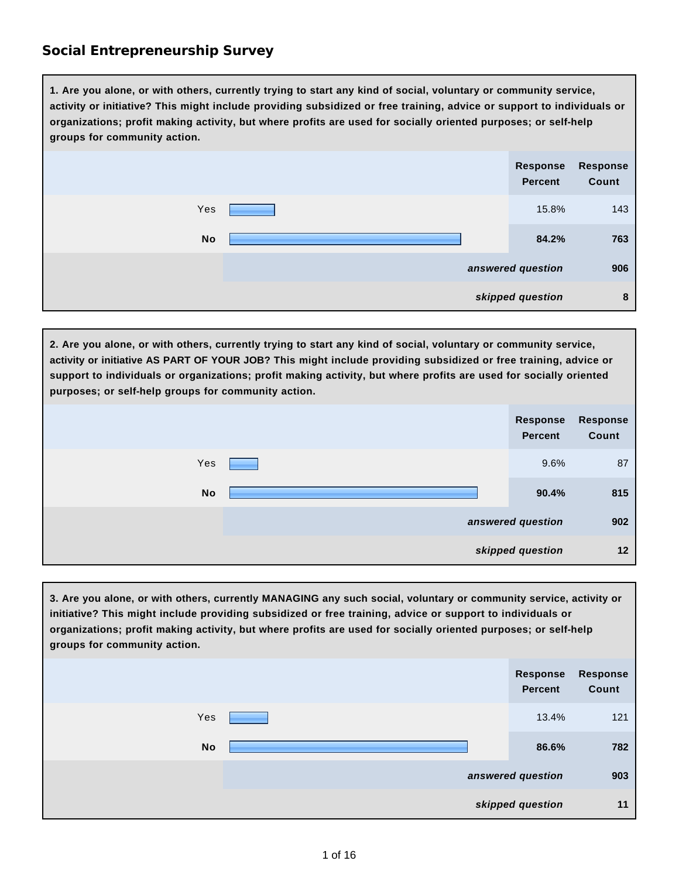**1. Are you alone, or with others, currently trying to start any kind of social, voluntary or community service, activity or initiative? This might include providing subsidized or free training, advice or support to individuals or organizations; profit making activity, but where profits are used for socially oriented purposes; or self-help groups for community action.**

|           |  | Response<br>Percent | <b>Response</b><br>Count |
|-----------|--|---------------------|--------------------------|
| Yes       |  | 15.8%               | 143                      |
| <b>No</b> |  | 84.2%               | 763                      |
|           |  | answered question   | 906                      |
|           |  | skipped question    | 8                        |

**2. Are you alone, or with others, currently trying to start any kind of social, voluntary or community service, activity or initiative AS PART OF YOUR JOB? This might include providing subsidized or free training, advice or support to individuals or organizations; profit making activity, but where profits are used for socially oriented purposes; or self-help groups for community action.**

|           | Response<br><b>Percent</b> | <b>Response</b><br>Count |
|-----------|----------------------------|--------------------------|
| Yes       | 9.6%                       | 87                       |
| <b>No</b> | 90.4%                      | 815                      |
|           | answered question          | 902                      |
|           | skipped question           | 12                       |

**3. Are you alone, or with others, currently MANAGING any such social, voluntary or community service, activity or initiative? This might include providing subsidized or free training, advice or support to individuals or organizations; profit making activity, but where profits are used for socially oriented purposes; or self-help groups for community action.**

|           | Response<br>Percent | Response<br>Count |
|-----------|---------------------|-------------------|
| Yes       | 13.4%               | 121               |
| <b>No</b> | 86.6%               | 782               |
|           | answered question   | 903               |
|           | skipped question    | 11                |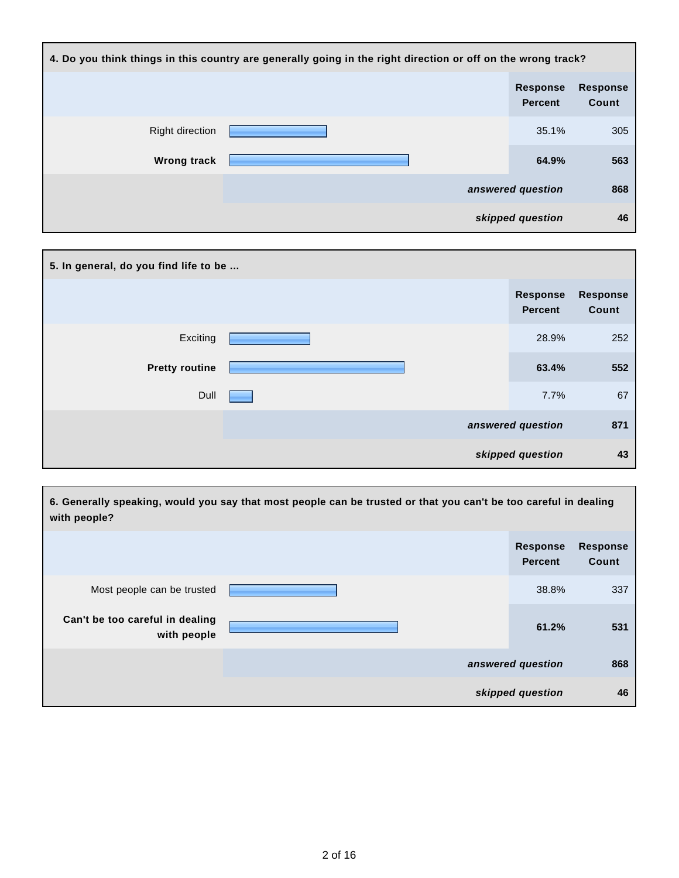| 4. Do you think things in this country are generally going in the right direction or off on the wrong track? |  |                                   |                          |
|--------------------------------------------------------------------------------------------------------------|--|-----------------------------------|--------------------------|
|                                                                                                              |  | <b>Response</b><br><b>Percent</b> | <b>Response</b><br>Count |
| <b>Right direction</b>                                                                                       |  | 35.1%                             | 305                      |
| <b>Wrong track</b>                                                                                           |  | 64.9%                             | 563                      |
|                                                                                                              |  | answered question                 | 868                      |
|                                                                                                              |  | skipped question                  | 46                       |

| 5. In general, do you find life to be |  |                            |                          |  |  |
|---------------------------------------|--|----------------------------|--------------------------|--|--|
|                                       |  | <b>Response</b><br>Percent | <b>Response</b><br>Count |  |  |
| Exciting                              |  | 28.9%                      | 252                      |  |  |
| <b>Pretty routine</b>                 |  | 63.4%                      | 552                      |  |  |
| Dull                                  |  | 7.7%                       | 67                       |  |  |
|                                       |  | answered question          | 871                      |  |  |
|                                       |  | skipped question           | 43                       |  |  |

| 6. Generally speaking, would you say that most people can be trusted or that you can't be too careful in dealing<br>with people? |  |                                   |                          |  |
|----------------------------------------------------------------------------------------------------------------------------------|--|-----------------------------------|--------------------------|--|
|                                                                                                                                  |  | <b>Response</b><br><b>Percent</b> | <b>Response</b><br>Count |  |
| Most people can be trusted                                                                                                       |  | 38.8%                             | 337                      |  |
| Can't be too careful in dealing<br>with people                                                                                   |  | 61.2%                             | 531                      |  |
|                                                                                                                                  |  | answered question                 | 868                      |  |
|                                                                                                                                  |  | skipped question                  | 46                       |  |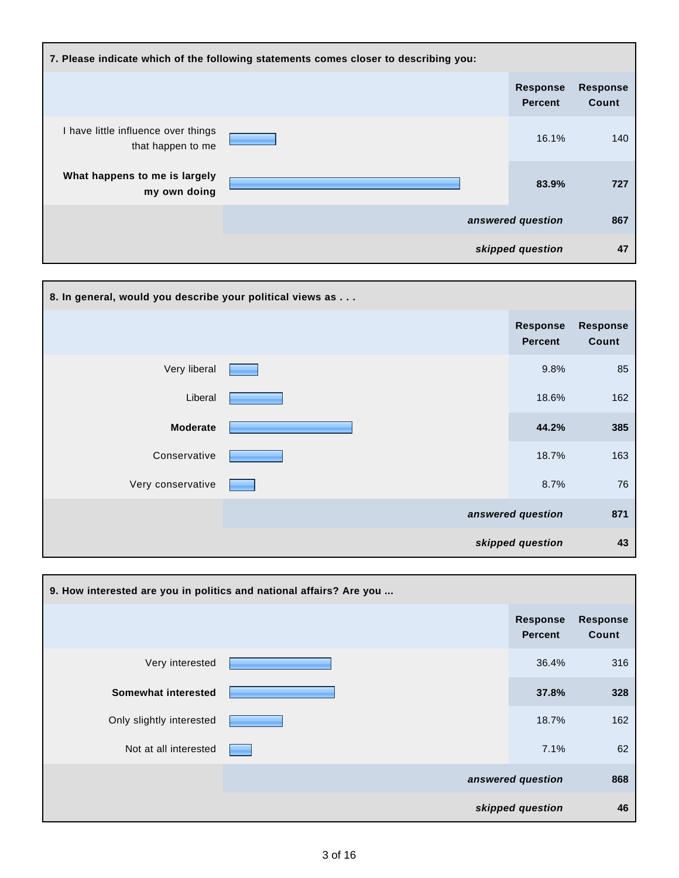| 7. Please indicate which of the following statements comes closer to describing you: |  |  |                                   |                          |
|--------------------------------------------------------------------------------------|--|--|-----------------------------------|--------------------------|
|                                                                                      |  |  | <b>Response</b><br><b>Percent</b> | <b>Response</b><br>Count |
| I have little influence over things<br>that happen to me                             |  |  | 16.1%                             | 140                      |
| What happens to me is largely<br>my own doing                                        |  |  | 83.9%                             | 727                      |
|                                                                                      |  |  | answered question                 | 867                      |
|                                                                                      |  |  | skipped question                  | 47                       |

| 8. In general, would you describe your political views as |  |                            |                          |  |
|-----------------------------------------------------------|--|----------------------------|--------------------------|--|
|                                                           |  | Response<br><b>Percent</b> | <b>Response</b><br>Count |  |
| Very liberal                                              |  | 9.8%                       | 85                       |  |
| Liberal                                                   |  | 18.6%                      | 162                      |  |
| <b>Moderate</b>                                           |  | 44.2%                      | 385                      |  |
| Conservative                                              |  | 18.7%                      | 163                      |  |
| Very conservative                                         |  | 8.7%                       | 76                       |  |
|                                                           |  | answered question          | 871                      |  |
|                                                           |  | skipped question           | 43                       |  |

| 9. How interested are you in politics and national affairs? Are you |  |                                   |                          |  |
|---------------------------------------------------------------------|--|-----------------------------------|--------------------------|--|
|                                                                     |  | <b>Response</b><br><b>Percent</b> | <b>Response</b><br>Count |  |
| Very interested                                                     |  | 36.4%                             | 316                      |  |
| Somewhat interested                                                 |  | 37.8%                             | 328                      |  |
| Only slightly interested                                            |  | 18.7%                             | 162                      |  |
| Not at all interested                                               |  | 7.1%                              | 62                       |  |
|                                                                     |  | answered question                 | 868                      |  |
|                                                                     |  | skipped question                  | 46                       |  |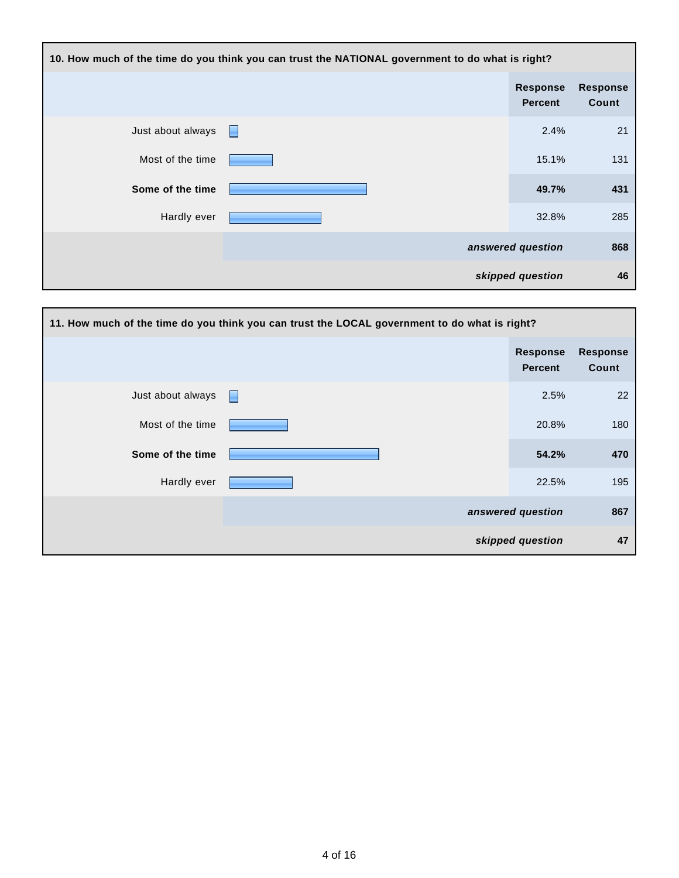| 10. How much of the time do you think you can trust the NATIONAL government to do what is right? |   |                                   |                          |  |
|--------------------------------------------------------------------------------------------------|---|-----------------------------------|--------------------------|--|
|                                                                                                  |   | <b>Response</b><br><b>Percent</b> | <b>Response</b><br>Count |  |
| Just about always                                                                                | Н | 2.4%                              | 21                       |  |
| Most of the time                                                                                 |   | 15.1%                             | 131                      |  |
| Some of the time                                                                                 |   | 49.7%                             | 431                      |  |
| Hardly ever                                                                                      |   | 32.8%                             | 285                      |  |
|                                                                                                  |   | answered question                 | 868                      |  |
|                                                                                                  |   | skipped question                  | 46                       |  |

| 11. How much of the time do you think you can trust the LOCAL government to do what is right? |   |                                   |                   |  |
|-----------------------------------------------------------------------------------------------|---|-----------------------------------|-------------------|--|
|                                                                                               |   | <b>Response</b><br><b>Percent</b> | Response<br>Count |  |
| Just about always                                                                             | Н | 2.5%                              | 22                |  |
| Most of the time                                                                              |   | 20.8%                             | 180               |  |
| Some of the time                                                                              |   | 54.2%                             | 470               |  |
| Hardly ever                                                                                   |   | 22.5%                             | 195               |  |
|                                                                                               |   | answered question                 | 867               |  |
|                                                                                               |   | skipped question                  | 47                |  |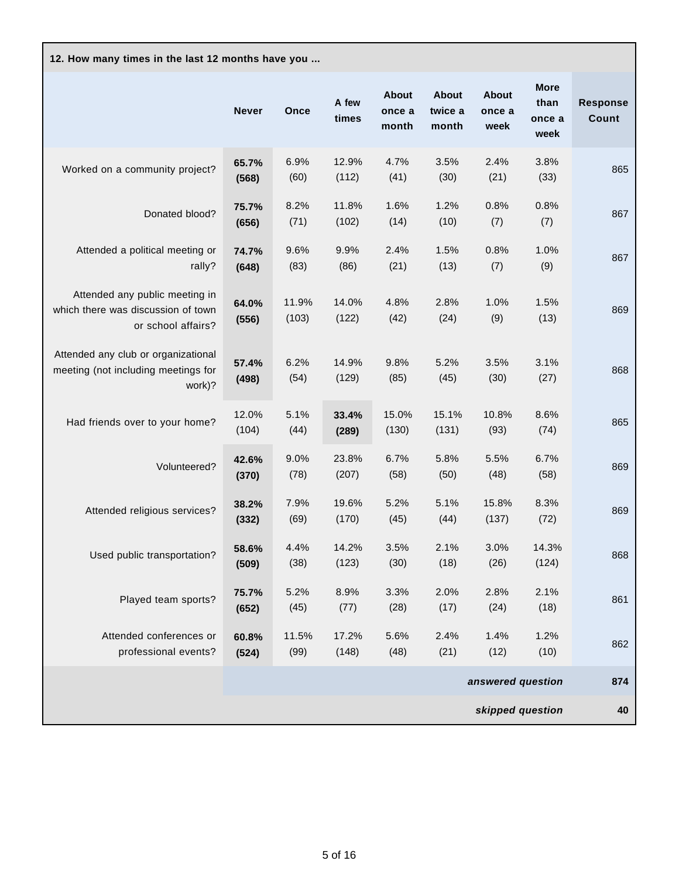| 12. How many times in the last 12 months have you                                          |                |                |                |                                 |                                  |                                |                                       |                                 |
|--------------------------------------------------------------------------------------------|----------------|----------------|----------------|---------------------------------|----------------------------------|--------------------------------|---------------------------------------|---------------------------------|
|                                                                                            | <b>Never</b>   | Once           | A few<br>times | <b>About</b><br>once a<br>month | <b>About</b><br>twice a<br>month | <b>About</b><br>once a<br>week | <b>More</b><br>than<br>once a<br>week | <b>Response</b><br><b>Count</b> |
| Worked on a community project?                                                             | 65.7%<br>(568) | 6.9%<br>(60)   | 12.9%<br>(112) | 4.7%<br>(41)                    | 3.5%<br>(30)                     | 2.4%<br>(21)                   | 3.8%<br>(33)                          | 865                             |
| Donated blood?                                                                             | 75.7%<br>(656) | 8.2%<br>(71)   | 11.8%<br>(102) | 1.6%<br>(14)                    | 1.2%<br>(10)                     | 0.8%<br>(7)                    | 0.8%<br>(7)                           | 867                             |
| Attended a political meeting or<br>rally?                                                  | 74.7%<br>(648) | 9.6%<br>(83)   | 9.9%<br>(86)   | 2.4%<br>(21)                    | 1.5%<br>(13)                     | 0.8%<br>(7)                    | 1.0%<br>(9)                           | 867                             |
| Attended any public meeting in<br>which there was discussion of town<br>or school affairs? | 64.0%<br>(556) | 11.9%<br>(103) | 14.0%<br>(122) | 4.8%<br>(42)                    | 2.8%<br>(24)                     | 1.0%<br>(9)                    | 1.5%<br>(13)                          | 869                             |
| Attended any club or organizational<br>meeting (not including meetings for<br>work)?       | 57.4%<br>(498) | 6.2%<br>(54)   | 14.9%<br>(129) | 9.8%<br>(85)                    | 5.2%<br>(45)                     | 3.5%<br>(30)                   | 3.1%<br>(27)                          | 868                             |
| Had friends over to your home?                                                             | 12.0%<br>(104) | 5.1%<br>(44)   | 33.4%<br>(289) | 15.0%<br>(130)                  | 15.1%<br>(131)                   | 10.8%<br>(93)                  | 8.6%<br>(74)                          | 865                             |
| Volunteered?                                                                               | 42.6%<br>(370) | 9.0%<br>(78)   | 23.8%<br>(207) | 6.7%<br>(58)                    | 5.8%<br>(50)                     | 5.5%<br>(48)                   | 6.7%<br>(58)                          | 869                             |
| Attended religious services?                                                               | 38.2%<br>(332) | 7.9%<br>(69)   | 19.6%<br>(170) | 5.2%<br>(45)                    | 5.1%<br>(44)                     | 15.8%<br>(137)                 | 8.3%<br>(72)                          | 869                             |
| Used public transportation?                                                                | 58.6%<br>(509) | 4.4%<br>(38)   | 14.2%<br>(123) | 3.5%<br>(30)                    | 2.1%<br>(18)                     | 3.0%<br>(26)                   | 14.3%<br>(124)                        | 868                             |
| Played team sports?                                                                        | 75.7%<br>(652) | 5.2%<br>(45)   | 8.9%<br>(77)   | 3.3%<br>(28)                    | 2.0%<br>(17)                     | 2.8%<br>(24)                   | 2.1%<br>(18)                          | 861                             |
| Attended conferences or<br>professional events?                                            | 60.8%<br>(524) | 11.5%<br>(99)  | 17.2%<br>(148) | 5.6%<br>(48)                    | 2.4%<br>(21)                     | 1.4%<br>(12)                   | 1.2%<br>(10)                          | 862                             |
|                                                                                            |                |                |                |                                 |                                  | answered question              |                                       | 874                             |
|                                                                                            |                |                |                |                                 |                                  | skipped question               |                                       | 40                              |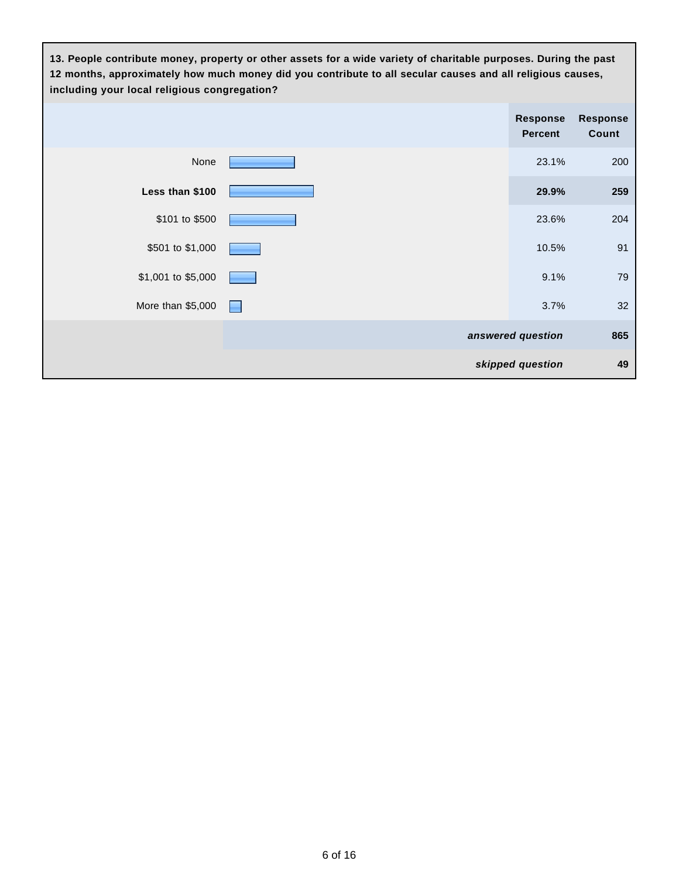**13. People contribute money, property or other assets for a wide variety of charitable purposes. During the past 12 months, approximately how much money did you contribute to all secular causes and all religious causes, including your local religious congregation?**

|                    |                | <b>Response</b><br><b>Percent</b> | <b>Response</b><br>Count |
|--------------------|----------------|-----------------------------------|--------------------------|
| None               |                | 23.1%                             | 200                      |
| Less than \$100    |                | 29.9%                             | 259                      |
| \$101 to \$500     |                | 23.6%                             | 204                      |
| \$501 to \$1,000   |                | 10.5%                             | 91                       |
| \$1,001 to \$5,000 |                | 9.1%                              | 79                       |
| More than \$5,000  | <b>Service</b> | 3.7%                              | 32                       |
|                    |                | answered question                 | 865                      |
|                    |                | skipped question                  | 49                       |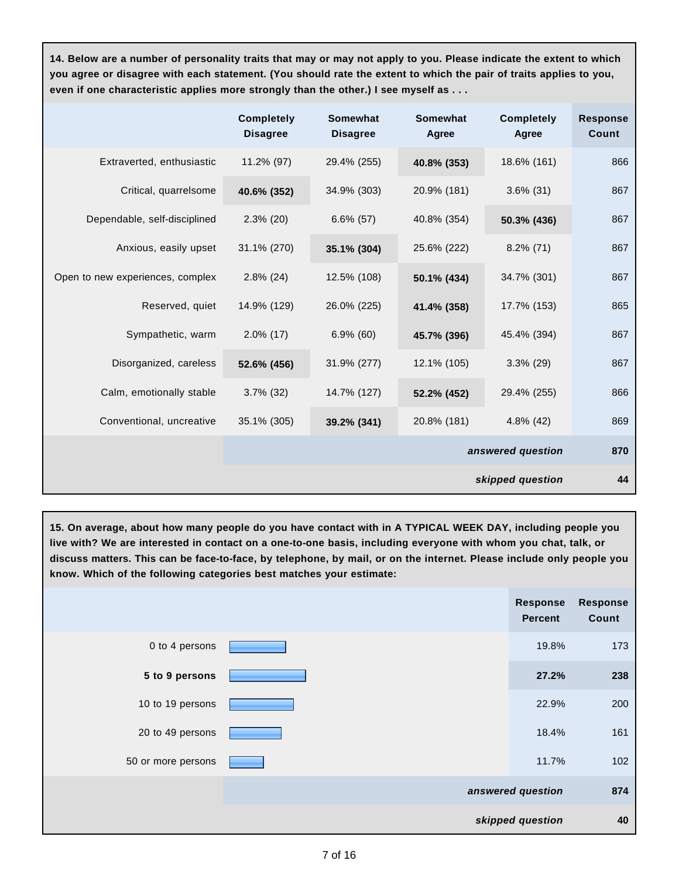**14. Below are a number of personality traits that may or may not apply to you. Please indicate the extent to which you agree or disagree with each statement. (You should rate the extent to which the pair of traits applies to you, even if one characteristic applies more strongly than the other.) I see myself as . . .**

|                                  | <b>Completely</b><br><b>Disagree</b> | <b>Somewhat</b><br><b>Disagree</b> | <b>Somewhat</b><br>Agree | <b>Completely</b><br>Agree | <b>Response</b><br><b>Count</b> |
|----------------------------------|--------------------------------------|------------------------------------|--------------------------|----------------------------|---------------------------------|
| Extraverted, enthusiastic        | 11.2% (97)                           | 29.4% (255)                        | 40.8% (353)              | 18.6% (161)                | 866                             |
| Critical, quarrelsome            | 40.6% (352)                          | 34.9% (303)                        | 20.9% (181)              | $3.6\%$ (31)               | 867                             |
| Dependable, self-disciplined     | $2.3\%$ (20)                         | $6.6\%$ (57)                       | 40.8% (354)              | 50.3% (436)                | 867                             |
| Anxious, easily upset            | 31.1% (270)                          | 35.1% (304)                        | 25.6% (222)              | $8.2\%$ (71)               | 867                             |
| Open to new experiences, complex | $2.8\%$ (24)                         | 12.5% (108)                        | 50.1% (434)              | 34.7% (301)                | 867                             |
| Reserved, quiet                  | 14.9% (129)                          | 26.0% (225)                        | 41.4% (358)              | 17.7% (153)                | 865                             |
| Sympathetic, warm                | $2.0\%$ (17)                         | $6.9\%$ (60)                       | 45.7% (396)              | 45.4% (394)                | 867                             |
| Disorganized, careless           | 52.6% (456)                          | 31.9% (277)                        | 12.1% (105)              | $3.3\%$ (29)               | 867                             |
| Calm, emotionally stable         | $3.7\%$ (32)                         | 14.7% (127)                        | 52.2% (452)              | 29.4% (255)                | 866                             |
| Conventional, uncreative         | 35.1% (305)                          | 39.2% (341)                        | 20.8% (181)              | $4.8\%$ (42)               | 869                             |
|                                  |                                      |                                    | answered question        |                            | 870                             |
|                                  |                                      |                                    |                          | skipped question           | 44                              |

**15. On average, about how many people do you have contact with in A TYPICAL WEEK DAY, including people you live with? We are interested in contact on a one-to-one basis, including everyone with whom you chat, talk, or discuss matters. This can be face-to-face, by telephone, by mail, or on the internet. Please include only people you know. Which of the following categories best matches your estimate:** 

|                    | <b>Response</b><br><b>Percent</b> | <b>Response</b><br>Count |
|--------------------|-----------------------------------|--------------------------|
| 0 to 4 persons     | 19.8%                             | 173                      |
| 5 to 9 persons     | 27.2%                             | 238                      |
| 10 to 19 persons   | 22.9%                             | 200                      |
| 20 to 49 persons   | 18.4%                             | 161                      |
| 50 or more persons | 11.7%                             | 102                      |
|                    | answered question                 | 874                      |
|                    | skipped question                  | 40                       |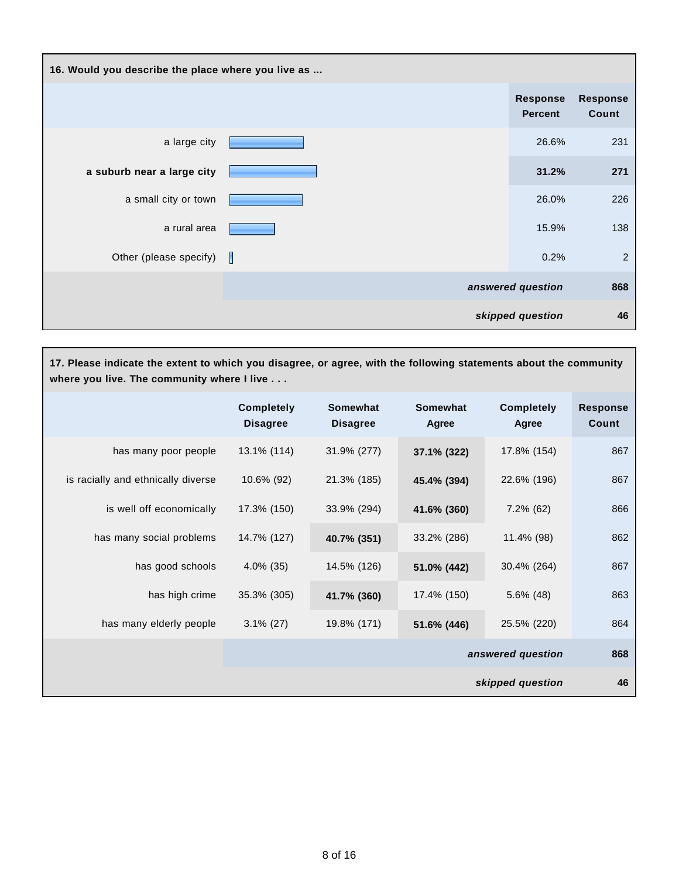| 16. Would you describe the place where you live as |   |                                   |                          |
|----------------------------------------------------|---|-----------------------------------|--------------------------|
|                                                    |   | <b>Response</b><br><b>Percent</b> | <b>Response</b><br>Count |
| a large city                                       |   | 26.6%                             | 231                      |
| a suburb near a large city                         |   | 31.2%                             | 271                      |
| a small city or town                               |   | 26.0%                             | 226                      |
| a rural area                                       |   | 15.9%                             | 138                      |
| Other (please specify)                             | П | 0.2%                              | $\overline{c}$           |
|                                                    |   | answered question                 | 868                      |
|                                                    |   | skipped question                  | 46                       |

**17. Please indicate the extent to which you disagree, or agree, with the following statements about the community where you live. The community where I live . . .**

|                                    | <b>Completely</b><br><b>Disagree</b> | <b>Somewhat</b><br><b>Disagree</b> | <b>Somewhat</b><br>Agree | <b>Completely</b><br>Agree | <b>Response</b><br>Count |
|------------------------------------|--------------------------------------|------------------------------------|--------------------------|----------------------------|--------------------------|
| has many poor people               | 13.1% (114)                          | 31.9% (277)                        | 37.1% (322)              | 17.8% (154)                | 867                      |
| is racially and ethnically diverse | 10.6% (92)                           | 21.3% (185)                        | 45.4% (394)              | 22.6% (196)                | 867                      |
| is well off economically           | 17.3% (150)                          | 33.9% (294)                        | 41.6% (360)              | $7.2\%$ (62)               | 866                      |
| has many social problems           | 14.7% (127)                          | 40.7% (351)                        | 33.2% (286)              | 11.4% (98)                 | 862                      |
| has good schools                   | $4.0\%$ (35)                         | 14.5% (126)                        | 51.0% (442)              | 30.4% (264)                | 867                      |
| has high crime                     | 35.3% (305)                          | 41.7% (360)                        | 17.4% (150)              | $5.6\%$ (48)               | 863                      |
| has many elderly people            | $3.1\%$ (27)                         | 19.8% (171)                        | 51.6% (446)              | 25.5% (220)                | 864                      |
|                                    |                                      |                                    |                          | answered question          | 868                      |
|                                    |                                      |                                    |                          | skipped question           | 46                       |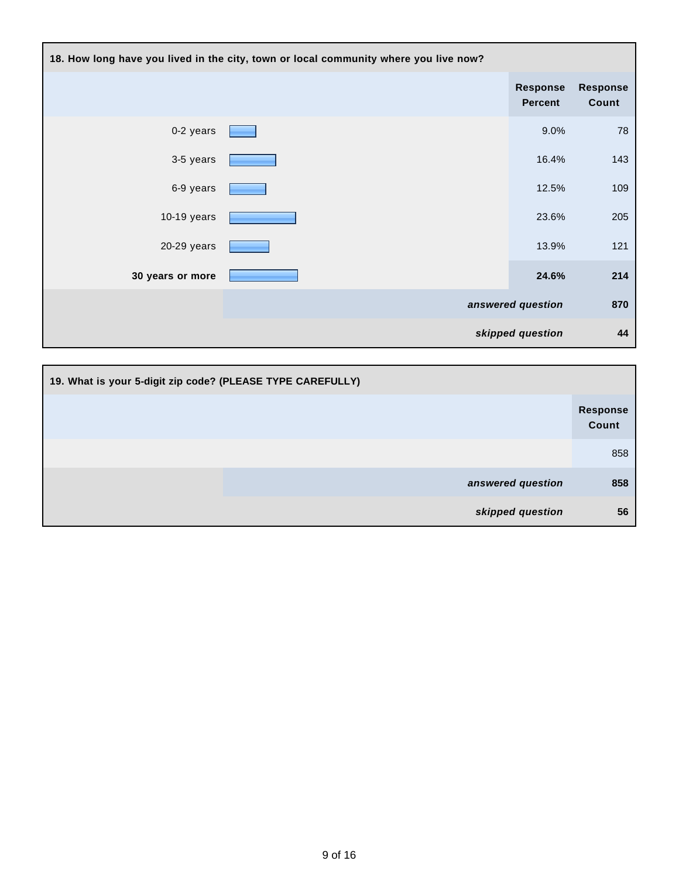| 18. How long have you lived in the city, town or local community where you live now? |  |                            |                          |
|--------------------------------------------------------------------------------------|--|----------------------------|--------------------------|
|                                                                                      |  | Response<br><b>Percent</b> | <b>Response</b><br>Count |
| 0-2 years                                                                            |  | 9.0%                       | 78                       |
| 3-5 years                                                                            |  | 16.4%                      | 143                      |
| 6-9 years                                                                            |  | 12.5%                      | 109                      |
| $10-19$ years                                                                        |  | 23.6%                      | 205                      |
| 20-29 years                                                                          |  | 13.9%                      | 121                      |
| 30 years or more                                                                     |  | 24.6%                      | 214                      |
|                                                                                      |  | answered question          | 870                      |
|                                                                                      |  | skipped question           | 44                       |

| 19. What is your 5-digit zip code? (PLEASE TYPE CAREFULLY) |                   |
|------------------------------------------------------------|-------------------|
|                                                            | Response<br>Count |
|                                                            | 858               |
| answered question                                          | 858               |
| skipped question                                           | 56                |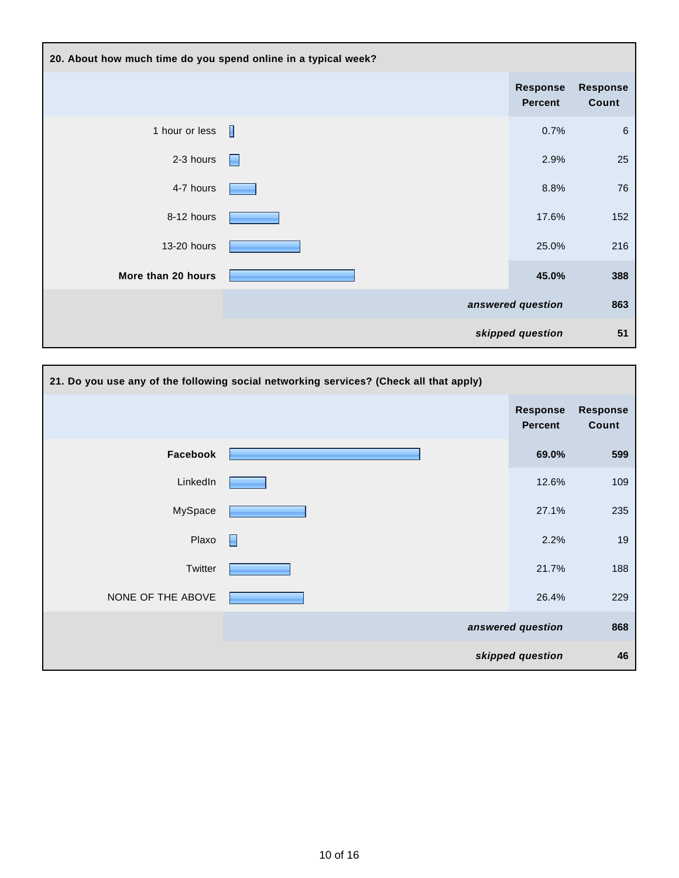| 20. About how much time do you spend online in a typical week? |   |                            |                   |
|----------------------------------------------------------------|---|----------------------------|-------------------|
|                                                                |   | Response<br><b>Percent</b> | Response<br>Count |
| 1 hour or less                                                 | П | 0.7%                       | $\,6\,$           |
| 2-3 hours                                                      | ⊫ | 2.9%                       | 25                |
| 4-7 hours                                                      |   | 8.8%                       | 76                |
| 8-12 hours                                                     |   | 17.6%                      | 152               |
| 13-20 hours                                                    |   | 25.0%                      | 216               |
| More than 20 hours                                             |   | 45.0%                      | 388               |
|                                                                |   | answered question          | 863               |
|                                                                |   | skipped question           | 51                |

| 21. Do you use any of the following social networking services? (Check all that apply) |   |                            |                          |
|----------------------------------------------------------------------------------------|---|----------------------------|--------------------------|
|                                                                                        |   | Response<br><b>Percent</b> | <b>Response</b><br>Count |
| Facebook                                                                               |   | 69.0%                      | 599                      |
| LinkedIn                                                                               |   | 12.6%                      | 109                      |
| MySpace                                                                                |   | 27.1%                      | 235                      |
| Plaxo                                                                                  | н | 2.2%                       | 19                       |
| Twitter                                                                                |   | 21.7%                      | 188                      |
| NONE OF THE ABOVE                                                                      |   | 26.4%                      | 229                      |
|                                                                                        |   | answered question          | 868                      |
|                                                                                        |   | skipped question           | 46                       |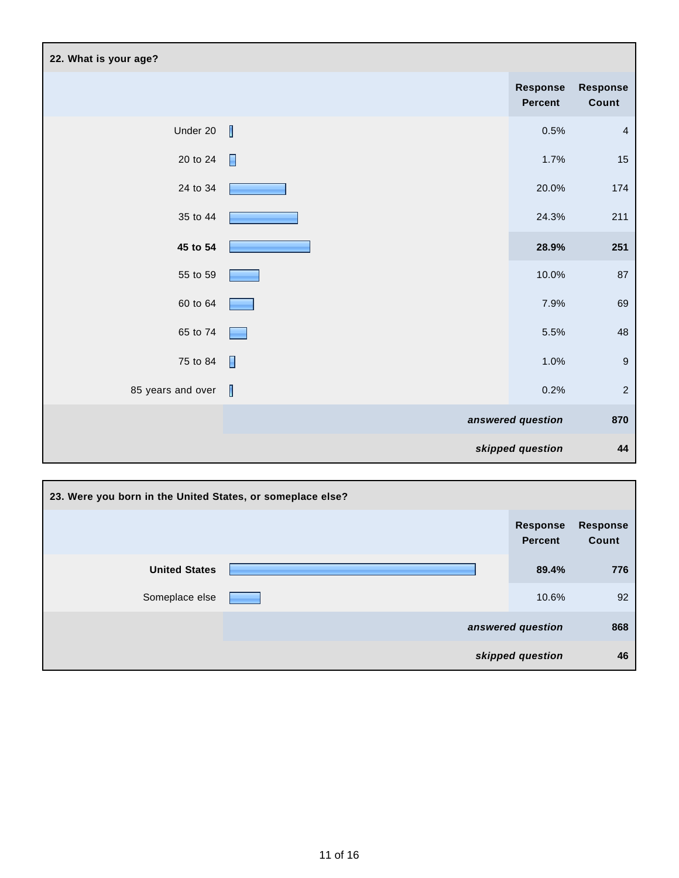| 22. What is your age? |                          |                                   |                   |
|-----------------------|--------------------------|-----------------------------------|-------------------|
|                       |                          | <b>Response</b><br><b>Percent</b> | Response<br>Count |
| Under 20              | I                        | $0.5\%$                           | $\overline{4}$    |
| 20 to 24              | $\blacksquare$           | 1.7%                              | 15                |
| 24 to 34              |                          | 20.0%                             | 174               |
| 35 to 44              |                          | 24.3%                             | 211               |
| 45 to 54              |                          | 28.9%                             | 251               |
| 55 to 59              |                          | 10.0%                             | 87                |
| 60 to 64              |                          | 7.9%                              | 69                |
| 65 to 74              |                          | 5.5%                              | $\sqrt{48}$       |
| 75 to 84              | $\overline{\phantom{a}}$ | 1.0%                              | $\boldsymbol{9}$  |
| 85 years and over     |                          | 0.2%                              | $\sqrt{2}$        |
|                       |                          | answered question                 | 870               |
|                       |                          | skipped question                  | 44                |

| 23. Were you born in the United States, or someplace else? |                                   |                          |
|------------------------------------------------------------|-----------------------------------|--------------------------|
|                                                            | <b>Response</b><br><b>Percent</b> | <b>Response</b><br>Count |
| <b>United States</b>                                       | 89.4%                             | 776                      |
| Someplace else                                             | 10.6%                             | 92                       |
|                                                            | answered question                 | 868                      |
|                                                            | skipped question                  | 46                       |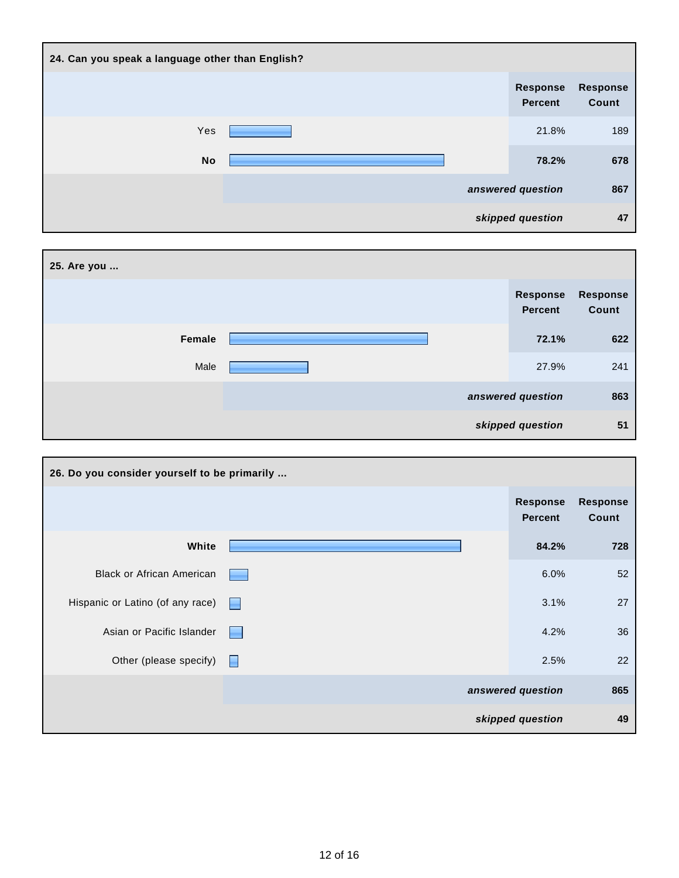| 24. Can you speak a language other than English? |  |                                   |                          |
|--------------------------------------------------|--|-----------------------------------|--------------------------|
|                                                  |  | <b>Response</b><br><b>Percent</b> | <b>Response</b><br>Count |
| Yes                                              |  | 21.8%                             | 189                      |
| <b>No</b>                                        |  | 78.2%                             | 678                      |
|                                                  |  | answered question                 | 867                      |
|                                                  |  | skipped question                  | 47                       |

| 25. Are you |                                   |                   |
|-------------|-----------------------------------|-------------------|
|             | <b>Response</b><br><b>Percent</b> | Response<br>Count |
| Female      | 72.1%                             | 622               |
| Male        | 27.9%                             | 241               |
|             | answered question                 | 863               |
|             | skipped question                  | 51                |

| 26. Do you consider yourself to be primarily |      |                                   |                          |
|----------------------------------------------|------|-----------------------------------|--------------------------|
|                                              |      | <b>Response</b><br><b>Percent</b> | <b>Response</b><br>Count |
| White                                        |      | 84.2%                             | 728                      |
| <b>Black or African American</b>             |      | 6.0%                              | 52                       |
| Hispanic or Latino (of any race)             | a ka | 3.1%                              | 27                       |
| Asian or Pacific Islander                    |      | 4.2%                              | 36                       |
| Other (please specify)                       | Н    | 2.5%                              | 22                       |
|                                              |      | answered question                 | 865                      |
|                                              |      | skipped question                  | 49                       |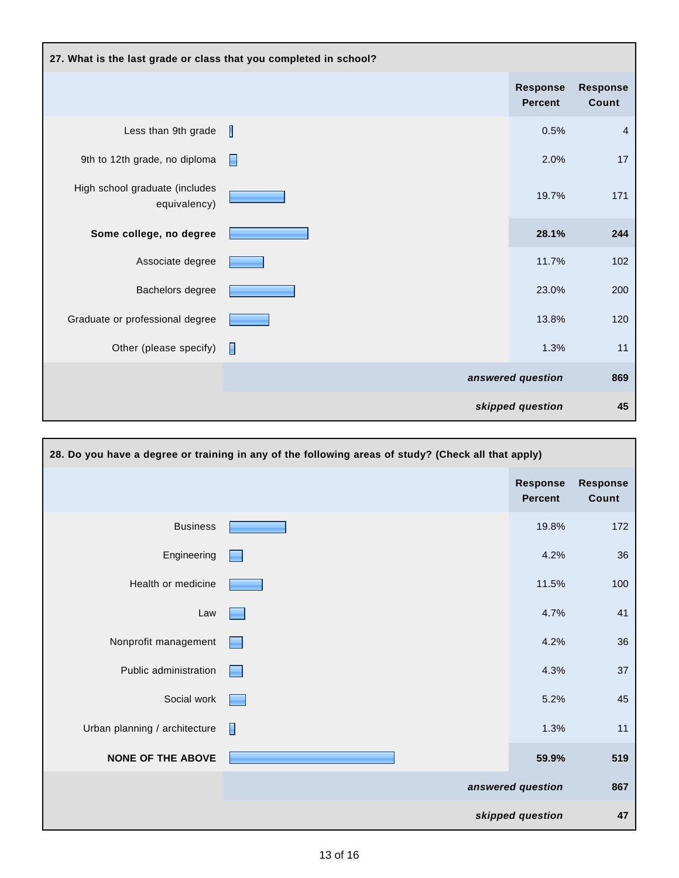| 27. What is the last grade or class that you completed in school? |   |                                   |                          |
|-------------------------------------------------------------------|---|-----------------------------------|--------------------------|
|                                                                   |   | <b>Response</b><br><b>Percent</b> | <b>Response</b><br>Count |
| Less than 9th grade                                               | Ш | 0.5%                              | $\overline{4}$           |
| 9th to 12th grade, no diploma                                     | Н | 2.0%                              | 17                       |
| High school graduate (includes<br>equivalency)                    |   | 19.7%                             | 171                      |
| Some college, no degree                                           |   | 28.1%                             | 244                      |
| Associate degree                                                  |   | 11.7%                             | 102                      |
| Bachelors degree                                                  |   | 23.0%                             | 200                      |
| Graduate or professional degree                                   |   | 13.8%                             | 120                      |
| Other (please specify)                                            | H | 1.3%                              | 11                       |
|                                                                   |   | answered question                 | 869                      |
|                                                                   |   | skipped question                  | 45                       |

| 28. Do you have a degree or training in any of the following areas of study? (Check all that apply) |              |                                   |                          |
|-----------------------------------------------------------------------------------------------------|--------------|-----------------------------------|--------------------------|
|                                                                                                     |              | <b>Response</b><br><b>Percent</b> | <b>Response</b><br>Count |
| <b>Business</b>                                                                                     |              | 19.8%                             | 172                      |
| Engineering                                                                                         |              | 4.2%                              | 36                       |
| Health or medicine                                                                                  |              | 11.5%                             | 100                      |
| Law                                                                                                 |              | 4.7%                              | 41                       |
| Nonprofit management                                                                                |              | 4.2%                              | 36                       |
| Public administration                                                                               |              | 4.3%                              | 37                       |
| Social work                                                                                         |              | 5.2%                              | 45                       |
| Urban planning / architecture                                                                       | $\mathbf{L}$ | 1.3%                              | 11                       |
| <b>NONE OF THE ABOVE</b>                                                                            |              | 59.9%                             | 519                      |
|                                                                                                     |              | answered question                 | 867                      |
|                                                                                                     |              | skipped question                  | 47                       |

г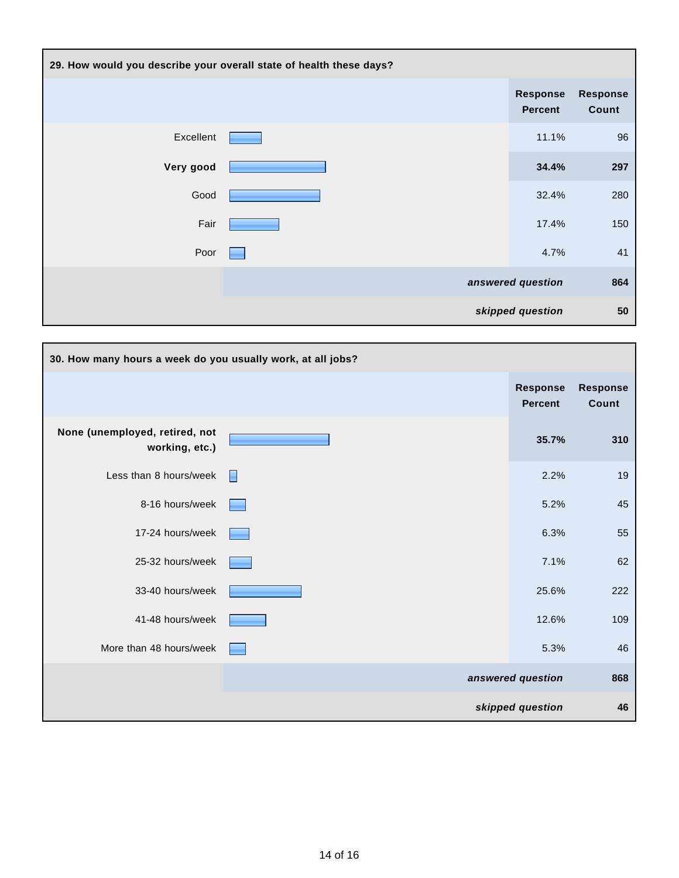| 29. How would you describe your overall state of health these days? |                                   |                          |
|---------------------------------------------------------------------|-----------------------------------|--------------------------|
|                                                                     | <b>Response</b><br><b>Percent</b> | <b>Response</b><br>Count |
| Excellent                                                           | 11.1%                             | 96                       |
| Very good                                                           | 34.4%                             | 297                      |
| Good                                                                | 32.4%                             | 280                      |
| Fair                                                                | 17.4%                             | 150                      |
| Poor                                                                | 4.7%                              | 41                       |
|                                                                     | answered question                 | 864                      |
|                                                                     | skipped question                  | 50                       |

| 30. How many hours a week do you usually work, at all jobs? |   |                                   |                          |
|-------------------------------------------------------------|---|-----------------------------------|--------------------------|
|                                                             |   | <b>Response</b><br><b>Percent</b> | <b>Response</b><br>Count |
| None (unemployed, retired, not<br>working, etc.)            |   | 35.7%                             | 310                      |
| Less than 8 hours/week                                      | H | 2.2%                              | 19                       |
| 8-16 hours/week                                             |   | 5.2%                              | 45                       |
| 17-24 hours/week                                            |   | 6.3%                              | 55                       |
| 25-32 hours/week                                            |   | 7.1%                              | 62                       |
| 33-40 hours/week                                            |   | 25.6%                             | 222                      |
| 41-48 hours/week                                            |   | 12.6%                             | 109                      |
| More than 48 hours/week                                     |   | 5.3%                              | 46                       |
|                                                             |   | answered question                 | 868                      |
|                                                             |   | skipped question                  | 46                       |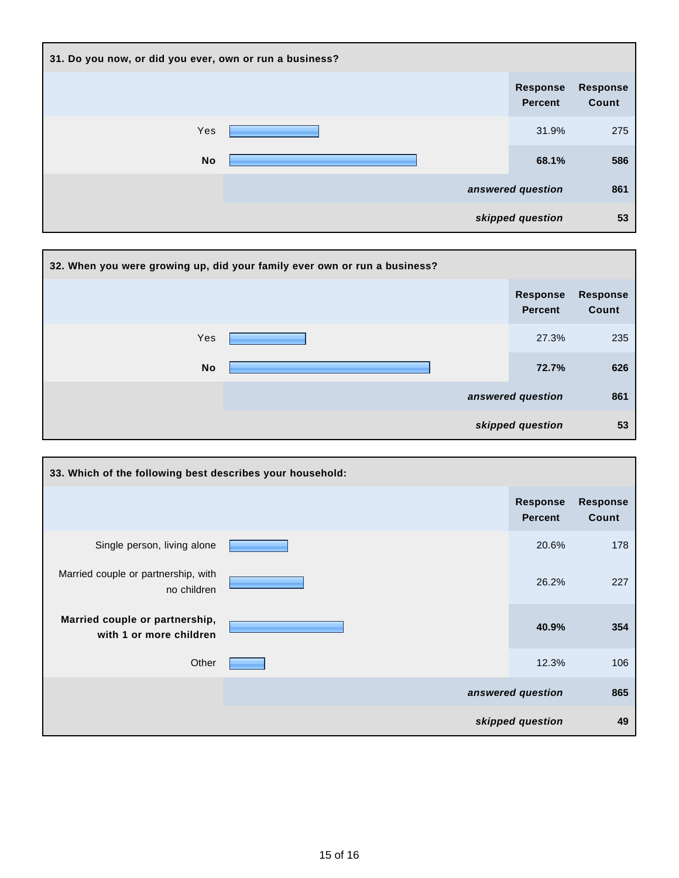| 31. Do you now, or did you ever, own or run a business? |  |                                   |                          |
|---------------------------------------------------------|--|-----------------------------------|--------------------------|
|                                                         |  | <b>Response</b><br><b>Percent</b> | <b>Response</b><br>Count |
| Yes                                                     |  | 31.9%                             | 275                      |
| <b>No</b>                                               |  | 68.1%                             | 586                      |
|                                                         |  | answered question                 | 861                      |
|                                                         |  | skipped question                  | 53                       |

|           | 32. When you were growing up, did your family ever own or run a business? |                            |                          |
|-----------|---------------------------------------------------------------------------|----------------------------|--------------------------|
|           |                                                                           | <b>Response</b><br>Percent | <b>Response</b><br>Count |
| Yes       |                                                                           | 27.3%                      | 235                      |
| <b>No</b> |                                                                           | 72.7%                      | 626                      |
|           |                                                                           | answered question          | 861                      |
|           |                                                                           | skipped question           | 53                       |

| 33. Which of the following best describes your household: |                                   |                          |
|-----------------------------------------------------------|-----------------------------------|--------------------------|
|                                                           | <b>Response</b><br><b>Percent</b> | <b>Response</b><br>Count |
| Single person, living alone                               | 20.6%                             | 178                      |
| Married couple or partnership, with<br>no children        | 26.2%                             | 227                      |
| Married couple or partnership,<br>with 1 or more children | 40.9%                             | 354                      |
| Other                                                     | 12.3%                             | 106                      |
|                                                           | answered question                 | 865                      |
|                                                           | skipped question                  | 49                       |